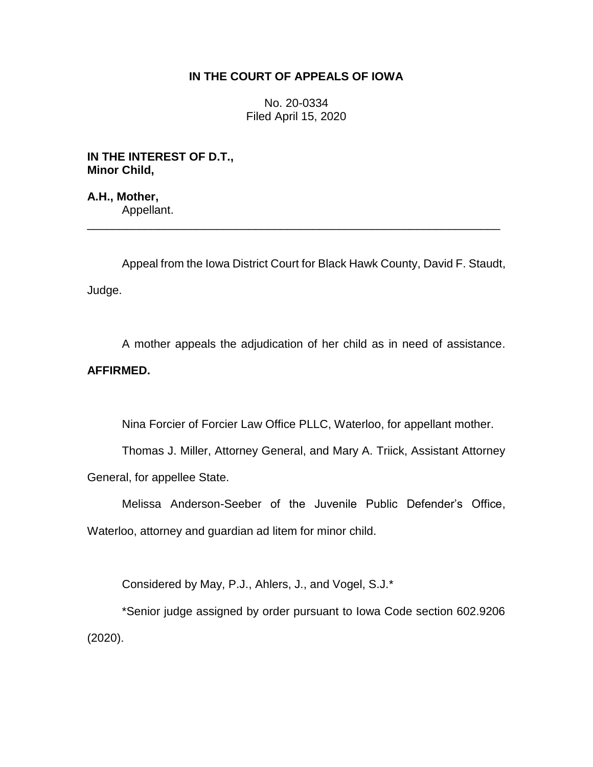## **IN THE COURT OF APPEALS OF IOWA**

No. 20-0334 Filed April 15, 2020

**IN THE INTEREST OF D.T., Minor Child,**

**A.H., Mother,** Appellant.

Appeal from the Iowa District Court for Black Hawk County, David F. Staudt, Judge.

\_\_\_\_\_\_\_\_\_\_\_\_\_\_\_\_\_\_\_\_\_\_\_\_\_\_\_\_\_\_\_\_\_\_\_\_\_\_\_\_\_\_\_\_\_\_\_\_\_\_\_\_\_\_\_\_\_\_\_\_\_\_\_\_

A mother appeals the adjudication of her child as in need of assistance. **AFFIRMED.**

Nina Forcier of Forcier Law Office PLLC, Waterloo, for appellant mother.

Thomas J. Miller, Attorney General, and Mary A. Triick, Assistant Attorney General, for appellee State.

Melissa Anderson-Seeber of the Juvenile Public Defender's Office, Waterloo, attorney and guardian ad litem for minor child.

Considered by May, P.J., Ahlers, J., and Vogel, S.J.\*

\*Senior judge assigned by order pursuant to Iowa Code section 602.9206 (2020).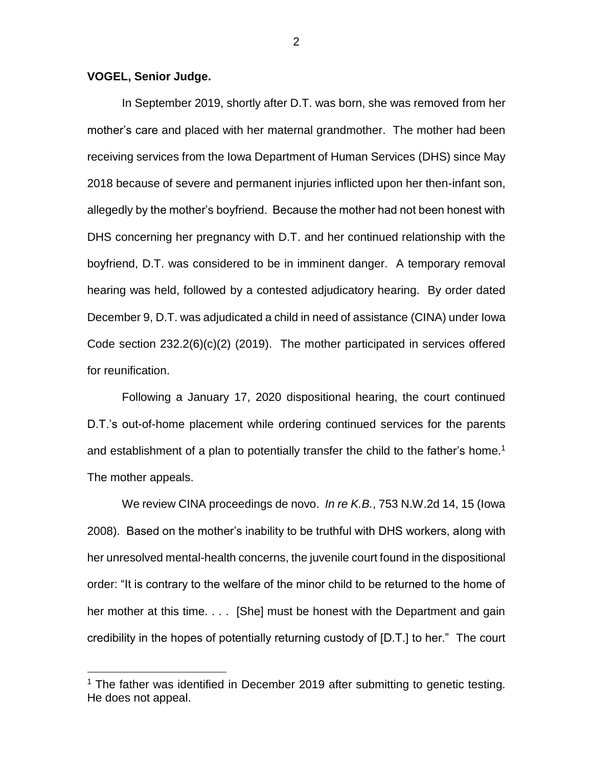## **VOGEL, Senior Judge.**

 $\overline{a}$ 

In September 2019, shortly after D.T. was born, she was removed from her mother's care and placed with her maternal grandmother. The mother had been receiving services from the Iowa Department of Human Services (DHS) since May 2018 because of severe and permanent injuries inflicted upon her then-infant son, allegedly by the mother's boyfriend. Because the mother had not been honest with DHS concerning her pregnancy with D.T. and her continued relationship with the boyfriend, D.T. was considered to be in imminent danger. A temporary removal hearing was held, followed by a contested adjudicatory hearing. By order dated December 9, D.T. was adjudicated a child in need of assistance (CINA) under Iowa Code section 232.2(6)(c)(2) (2019). The mother participated in services offered for reunification.

Following a January 17, 2020 dispositional hearing, the court continued D.T.'s out-of-home placement while ordering continued services for the parents and establishment of a plan to potentially transfer the child to the father's home.<sup>1</sup> The mother appeals.

We review CINA proceedings de novo. *In re K.B.*, 753 N.W.2d 14, 15 (Iowa 2008). Based on the mother's inability to be truthful with DHS workers, along with her unresolved mental-health concerns, the juvenile court found in the dispositional order: "It is contrary to the welfare of the minor child to be returned to the home of her mother at this time. . . . [She] must be honest with the Department and gain credibility in the hopes of potentially returning custody of [D.T.] to her." The court

<sup>&</sup>lt;sup>1</sup> The father was identified in December 2019 after submitting to genetic testing. He does not appeal.